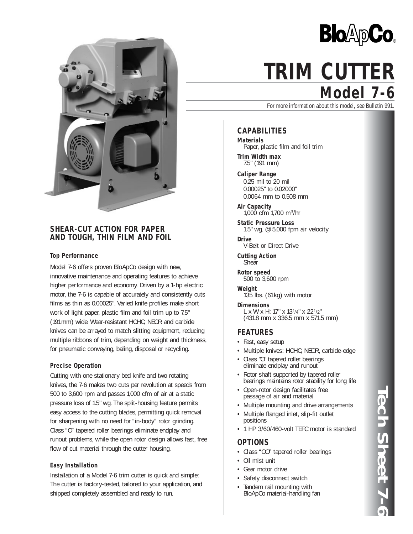

# **SHEAR-CUT ACTION FOR PAPER AND TOUGH, THIN FILM AND FOIL**

### **Top Performance**

Model 7-6 offers proven BloApCo design with new, innovative maintenance and operating features to achieve higher performance and economy. Driven by a 1-hp electric motor, the 7-6 is capable of accurately and consistently cuts films as thin as 0.00025". Varied knife profiles make short work of light paper, plastic film and foil trim up to 7.5" (191mm) wide. Wear-resistant HCHC, NEOR and carbide knives can be arrayed to match slitting equipment, reducing multiple ribbons of trim, depending on weight and thickness, for pneumatic conveying, baling, disposal or recycling.

### **Precise Operation**

Cutting with one stationary bed knife and two rotating knives, the 7-6 makes two cuts per revolution at speeds from 500 to 3,600 rpm and passes 1,000 cfm of air at a static pressure loss of 1.5" wg. The split-housing feature permits easy access to the cutting blades, permitting quick removal for sharpening with no need for "in-body" rotor grinding. Class "O" tapered roller bearings eliminate endplay and runout problems, while the open rotor design allows fast, free flow of cut material through the cutter housing.

### **Easy Installation**

Installation of a Model 7-6 trim cutter is quick and simple: The cutter is factory-tested, tailored to your application, and shipped completely assembled and ready to run.



# **Model 7-6 TRIM CUTTER**

For more information about this model, see Bulletin 991.

# **CAPABILITIES**

**Materials** Paper, plastic film and foil trim

**Trim Width max** 7.5" (191 mm)

**Caliper Range** 0.25 mil to 20 mil 0.00025" to 0.02000" 0.0064 mm to 0.508 mm

**Air Capacity** 1,000 cfm 1,700 m3/hr

**Static Pressure Loss** 1.5" wg. @ 5,000 fpm air velocity

**Drive** V-Belt or Direct Drive

**Cutting Action Shear** 

**Rotor speed** 500 to 3,600 rpm

**Weight** 135 lbs. (61kg) with motor

**Dimensions** L x W x H: 17" x 131/4" x 221/2" (431.8 mm x 336.5 mm x 571.5 mm)

### **FEATURES**

- Fast, easy setup
- Multiple knives: HCHC, NEOR, carbide-edge
- Class "O" tapered roller bearings eliminate endplay and runout
- Rotor shaft supported by tapered roller bearings maintains rotor stability for long life
- Open-rotor design facilitates free passage of air and material
- Multiple mounting and drive arrangements
- Multiple flanged inlet, slip-fit outlet positions
- 1 HP 3/60/460-volt TEFC motor is standard

## **OPTIONS**

- Class "OO" tapered roller bearings
- Oil mist unit
- Gear motor drive
- Safety disconnect switch
- Tandem rail mounting with BloApCo material-handling fan